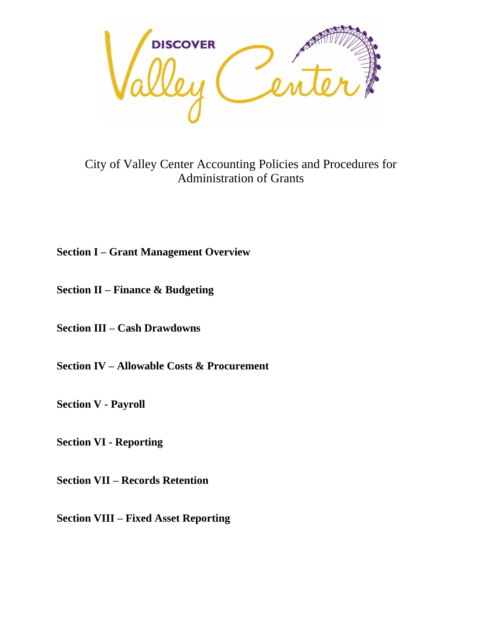

City of Valley Center Accounting Policies and Procedures for Administration of Grants

# **Section I – Grant Management Overview**

**Section II – Finance & Budgeting** 

**Section III – Cash Drawdowns** 

**Section IV – Allowable Costs & Procurement** 

**Section V - Payroll** 

**Section VI - Reporting** 

**Section VII – Records Retention** 

**Section VIII – Fixed Asset Reporting**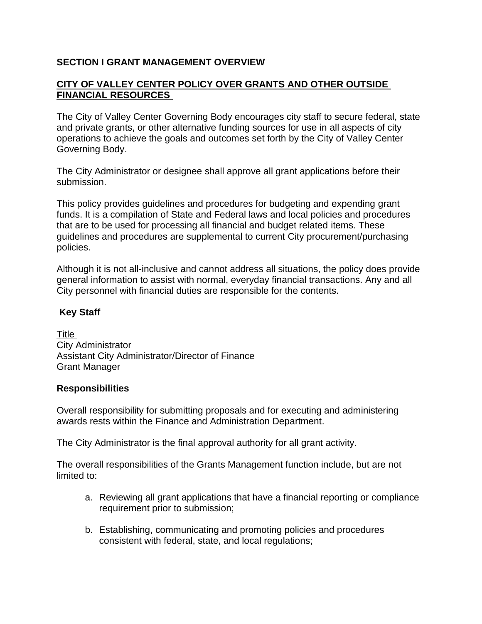# **SECTION I GRANT MANAGEMENT OVERVIEW**

## **CITY OF VALLEY CENTER POLICY OVER GRANTS AND OTHER OUTSIDE FINANCIAL RESOURCES**

The City of Valley Center Governing Body encourages city staff to secure federal, state and private grants, or other alternative funding sources for use in all aspects of city operations to achieve the goals and outcomes set forth by the City of Valley Center Governing Body.

The City Administrator or designee shall approve all grant applications before their submission.

This policy provides guidelines and procedures for budgeting and expending grant funds. It is a compilation of State and Federal laws and local policies and procedures that are to be used for processing all financial and budget related items. These guidelines and procedures are supplemental to current City procurement/purchasing policies.

Although it is not all-inclusive and cannot address all situations, the policy does provide general information to assist with normal, everyday financial transactions. Any and all City personnel with financial duties are responsible for the contents.

## **Key Staff**

Title City Administrator Assistant City Administrator/Director of Finance Grant Manager

#### **Responsibilities**

Overall responsibility for submitting proposals and for executing and administering awards rests within the Finance and Administration Department.

The City Administrator is the final approval authority for all grant activity.

The overall responsibilities of the Grants Management function include, but are not limited to:

- a. Reviewing all grant applications that have a financial reporting or compliance requirement prior to submission;
- b. Establishing, communicating and promoting policies and procedures consistent with federal, state, and local regulations;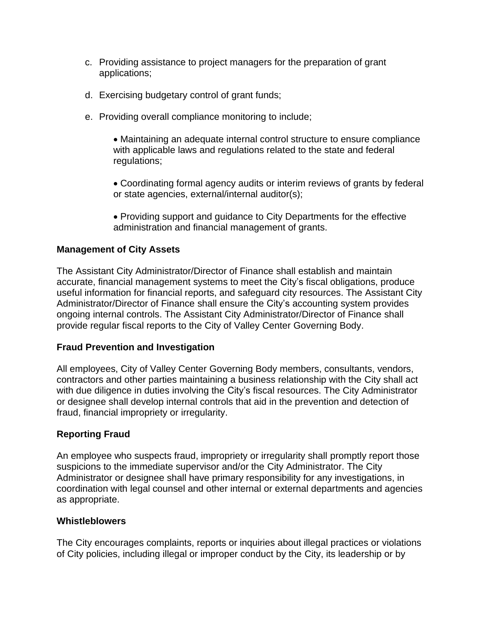- c. Providing assistance to project managers for the preparation of grant applications;
- d. Exercising budgetary control of grant funds;
- e. Providing overall compliance monitoring to include;
	- Maintaining an adequate internal control structure to ensure compliance with applicable laws and regulations related to the state and federal regulations;
	- Coordinating formal agency audits or interim reviews of grants by federal or state agencies, external/internal auditor(s);
	- Providing support and guidance to City Departments for the effective administration and financial management of grants.

## **Management of City Assets**

The Assistant City Administrator/Director of Finance shall establish and maintain accurate, financial management systems to meet the City's fiscal obligations, produce useful information for financial reports, and safeguard city resources. The Assistant City Administrator/Director of Finance shall ensure the City's accounting system provides ongoing internal controls. The Assistant City Administrator/Director of Finance shall provide regular fiscal reports to the City of Valley Center Governing Body.

#### **Fraud Prevention and Investigation**

All employees, City of Valley Center Governing Body members, consultants, vendors, contractors and other parties maintaining a business relationship with the City shall act with due diligence in duties involving the City's fiscal resources. The City Administrator or designee shall develop internal controls that aid in the prevention and detection of fraud, financial impropriety or irregularity.

#### **Reporting Fraud**

An employee who suspects fraud, impropriety or irregularity shall promptly report those suspicions to the immediate supervisor and/or the City Administrator. The City Administrator or designee shall have primary responsibility for any investigations, in coordination with legal counsel and other internal or external departments and agencies as appropriate.

#### **Whistleblowers**

The City encourages complaints, reports or inquiries about illegal practices or violations of City policies, including illegal or improper conduct by the City, its leadership or by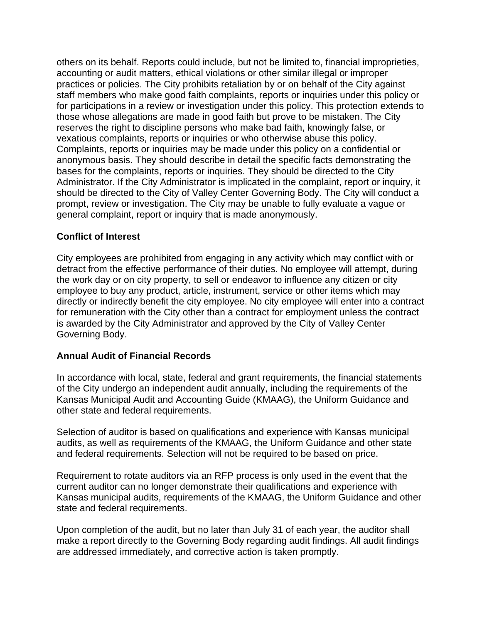others on its behalf. Reports could include, but not be limited to, financial improprieties, accounting or audit matters, ethical violations or other similar illegal or improper practices or policies. The City prohibits retaliation by or on behalf of the City against staff members who make good faith complaints, reports or inquiries under this policy or for participations in a review or investigation under this policy. This protection extends to those whose allegations are made in good faith but prove to be mistaken. The City reserves the right to discipline persons who make bad faith, knowingly false, or vexatious complaints, reports or inquiries or who otherwise abuse this policy. Complaints, reports or inquiries may be made under this policy on a confidential or anonymous basis. They should describe in detail the specific facts demonstrating the bases for the complaints, reports or inquiries. They should be directed to the City Administrator. If the City Administrator is implicated in the complaint, report or inquiry, it should be directed to the City of Valley Center Governing Body. The City will conduct a prompt, review or investigation. The City may be unable to fully evaluate a vague or general complaint, report or inquiry that is made anonymously.

## **Conflict of Interest**

City employees are prohibited from engaging in any activity which may conflict with or detract from the effective performance of their duties. No employee will attempt, during the work day or on city property, to sell or endeavor to influence any citizen or city employee to buy any product, article, instrument, service or other items which may directly or indirectly benefit the city employee. No city employee will enter into a contract for remuneration with the City other than a contract for employment unless the contract is awarded by the City Administrator and approved by the City of Valley Center Governing Body.

# **Annual Audit of Financial Records**

In accordance with local, state, federal and grant requirements, the financial statements of the City undergo an independent audit annually, including the requirements of the Kansas Municipal Audit and Accounting Guide (KMAAG), the Uniform Guidance and other state and federal requirements.

Selection of auditor is based on qualifications and experience with Kansas municipal audits, as well as requirements of the KMAAG, the Uniform Guidance and other state and federal requirements. Selection will not be required to be based on price.

Requirement to rotate auditors via an RFP process is only used in the event that the current auditor can no longer demonstrate their qualifications and experience with Kansas municipal audits, requirements of the KMAAG, the Uniform Guidance and other state and federal requirements.

Upon completion of the audit, but no later than July 31 of each year, the auditor shall make a report directly to the Governing Body regarding audit findings. All audit findings are addressed immediately, and corrective action is taken promptly.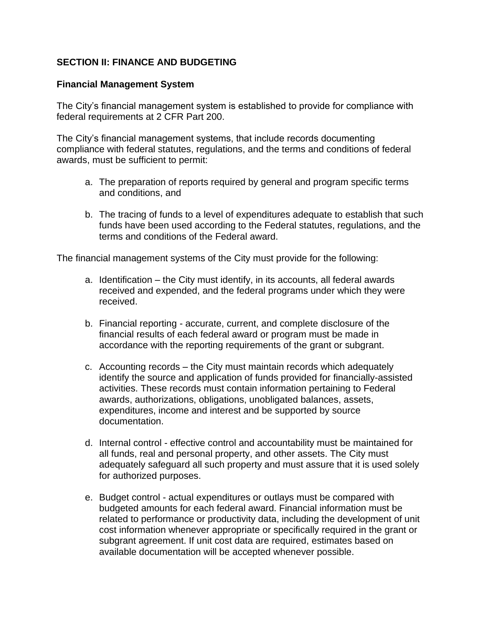# **SECTION II: FINANCE AND BUDGETING**

### **Financial Management System**

The City's financial management system is established to provide for compliance with federal requirements at 2 CFR Part 200.

The City's financial management systems, that include records documenting compliance with federal statutes, regulations, and the terms and conditions of federal awards, must be sufficient to permit:

- a. The preparation of reports required by general and program specific terms and conditions, and
- b. The tracing of funds to a level of expenditures adequate to establish that such funds have been used according to the Federal statutes, regulations, and the terms and conditions of the Federal award.

The financial management systems of the City must provide for the following:

- a. Identification the City must identify, in its accounts, all federal awards received and expended, and the federal programs under which they were received.
- b. Financial reporting accurate, current, and complete disclosure of the financial results of each federal award or program must be made in accordance with the reporting requirements of the grant or subgrant.
- c. Accounting records the City must maintain records which adequately identify the source and application of funds provided for financially-assisted activities. These records must contain information pertaining to Federal awards, authorizations, obligations, unobligated balances, assets, expenditures, income and interest and be supported by source documentation.
- d. Internal control effective control and accountability must be maintained for all funds, real and personal property, and other assets. The City must adequately safeguard all such property and must assure that it is used solely for authorized purposes.
- e. Budget control actual expenditures or outlays must be compared with budgeted amounts for each federal award. Financial information must be related to performance or productivity data, including the development of unit cost information whenever appropriate or specifically required in the grant or subgrant agreement. If unit cost data are required, estimates based on available documentation will be accepted whenever possible.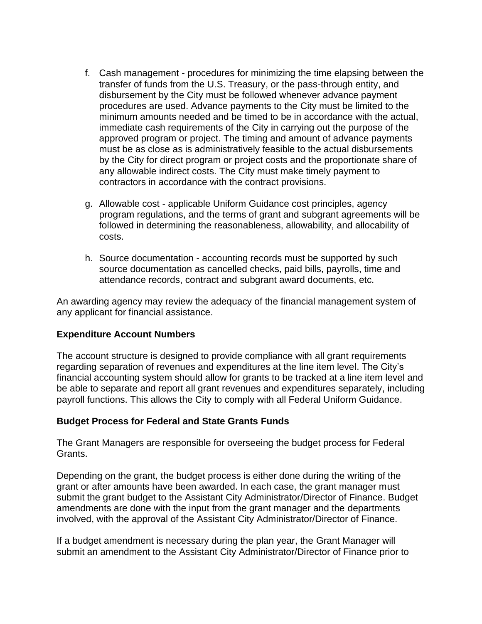- f. Cash management procedures for minimizing the time elapsing between the transfer of funds from the U.S. Treasury, or the pass-through entity, and disbursement by the City must be followed whenever advance payment procedures are used. Advance payments to the City must be limited to the minimum amounts needed and be timed to be in accordance with the actual, immediate cash requirements of the City in carrying out the purpose of the approved program or project. The timing and amount of advance payments must be as close as is administratively feasible to the actual disbursements by the City for direct program or project costs and the proportionate share of any allowable indirect costs. The City must make timely payment to contractors in accordance with the contract provisions.
- g. Allowable cost applicable Uniform Guidance cost principles, agency program regulations, and the terms of grant and subgrant agreements will be followed in determining the reasonableness, allowability, and allocability of costs.
- h. Source documentation accounting records must be supported by such source documentation as cancelled checks, paid bills, payrolls, time and attendance records, contract and subgrant award documents, etc.

An awarding agency may review the adequacy of the financial management system of any applicant for financial assistance.

#### **Expenditure Account Numbers**

The account structure is designed to provide compliance with all grant requirements regarding separation of revenues and expenditures at the line item level. The City's financial accounting system should allow for grants to be tracked at a line item level and be able to separate and report all grant revenues and expenditures separately, including payroll functions. This allows the City to comply with all Federal Uniform Guidance.

#### **Budget Process for Federal and State Grants Funds**

The Grant Managers are responsible for overseeing the budget process for Federal Grants.

Depending on the grant, the budget process is either done during the writing of the grant or after amounts have been awarded. In each case, the grant manager must submit the grant budget to the Assistant City Administrator/Director of Finance. Budget amendments are done with the input from the grant manager and the departments involved, with the approval of the Assistant City Administrator/Director of Finance.

If a budget amendment is necessary during the plan year, the Grant Manager will submit an amendment to the Assistant City Administrator/Director of Finance prior to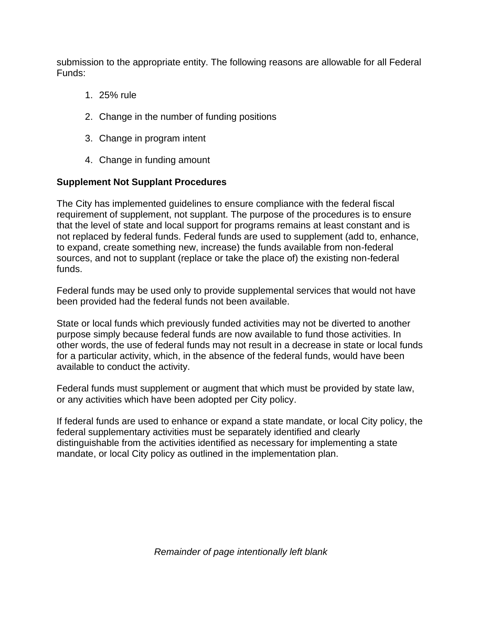submission to the appropriate entity. The following reasons are allowable for all Federal Funds:

- 1. 25% rule
- 2. Change in the number of funding positions
- 3. Change in program intent
- 4. Change in funding amount

# **Supplement Not Supplant Procedures**

The City has implemented guidelines to ensure compliance with the federal fiscal requirement of supplement, not supplant. The purpose of the procedures is to ensure that the level of state and local support for programs remains at least constant and is not replaced by federal funds. Federal funds are used to supplement (add to, enhance, to expand, create something new, increase) the funds available from non-federal sources, and not to supplant (replace or take the place of) the existing non-federal funds.

Federal funds may be used only to provide supplemental services that would not have been provided had the federal funds not been available.

State or local funds which previously funded activities may not be diverted to another purpose simply because federal funds are now available to fund those activities. In other words, the use of federal funds may not result in a decrease in state or local funds for a particular activity, which, in the absence of the federal funds, would have been available to conduct the activity.

Federal funds must supplement or augment that which must be provided by state law, or any activities which have been adopted per City policy.

If federal funds are used to enhance or expand a state mandate, or local City policy, the federal supplementary activities must be separately identified and clearly distinguishable from the activities identified as necessary for implementing a state mandate, or local City policy as outlined in the implementation plan.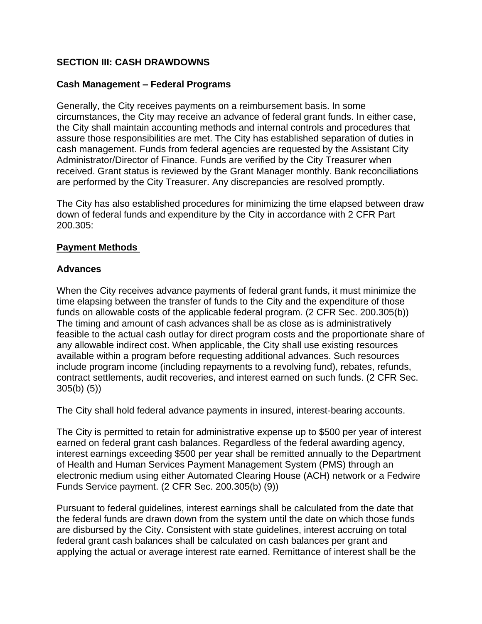# **SECTION III: CASH DRAWDOWNS**

# **Cash Management – Federal Programs**

Generally, the City receives payments on a reimbursement basis. In some circumstances, the City may receive an advance of federal grant funds. In either case, the City shall maintain accounting methods and internal controls and procedures that assure those responsibilities are met. The City has established separation of duties in cash management. Funds from federal agencies are requested by the Assistant City Administrator/Director of Finance. Funds are verified by the City Treasurer when received. Grant status is reviewed by the Grant Manager monthly. Bank reconciliations are performed by the City Treasurer. Any discrepancies are resolved promptly.

The City has also established procedures for minimizing the time elapsed between draw down of federal funds and expenditure by the City in accordance with 2 CFR Part 200.305:

#### **Payment Methods**

## **Advances**

When the City receives advance payments of federal grant funds, it must minimize the time elapsing between the transfer of funds to the City and the expenditure of those funds on allowable costs of the applicable federal program. (2 CFR Sec. 200.305(b)) The timing and amount of cash advances shall be as close as is administratively feasible to the actual cash outlay for direct program costs and the proportionate share of any allowable indirect cost. When applicable, the City shall use existing resources available within a program before requesting additional advances. Such resources include program income (including repayments to a revolving fund), rebates, refunds, contract settlements, audit recoveries, and interest earned on such funds. (2 CFR Sec. 305(b) (5))

The City shall hold federal advance payments in insured, interest-bearing accounts.

The City is permitted to retain for administrative expense up to \$500 per year of interest earned on federal grant cash balances. Regardless of the federal awarding agency, interest earnings exceeding \$500 per year shall be remitted annually to the Department of Health and Human Services Payment Management System (PMS) through an electronic medium using either Automated Clearing House (ACH) network or a Fedwire Funds Service payment. (2 CFR Sec. 200.305(b) (9))

Pursuant to federal guidelines, interest earnings shall be calculated from the date that the federal funds are drawn down from the system until the date on which those funds are disbursed by the City. Consistent with state guidelines, interest accruing on total federal grant cash balances shall be calculated on cash balances per grant and applying the actual or average interest rate earned. Remittance of interest shall be the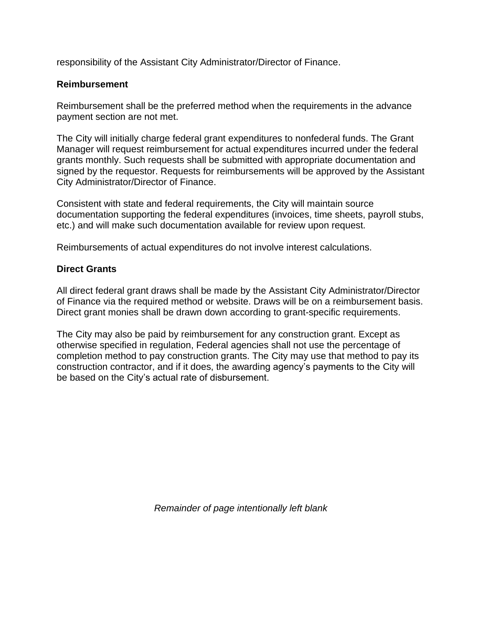responsibility of the Assistant City Administrator/Director of Finance.

### **Reimbursement**

Reimbursement shall be the preferred method when the requirements in the advance payment section are not met.

The City will initially charge federal grant expenditures to nonfederal funds. The Grant Manager will request reimbursement for actual expenditures incurred under the federal grants monthly. Such requests shall be submitted with appropriate documentation and signed by the requestor. Requests for reimbursements will be approved by the Assistant City Administrator/Director of Finance.

Consistent with state and federal requirements, the City will maintain source documentation supporting the federal expenditures (invoices, time sheets, payroll stubs, etc.) and will make such documentation available for review upon request.

Reimbursements of actual expenditures do not involve interest calculations.

## **Direct Grants**

All direct federal grant draws shall be made by the Assistant City Administrator/Director of Finance via the required method or website. Draws will be on a reimbursement basis. Direct grant monies shall be drawn down according to grant-specific requirements.

The City may also be paid by reimbursement for any construction grant. Except as otherwise specified in regulation, Federal agencies shall not use the percentage of completion method to pay construction grants. The City may use that method to pay its construction contractor, and if it does, the awarding agency's payments to the City will be based on the City's actual rate of disbursement.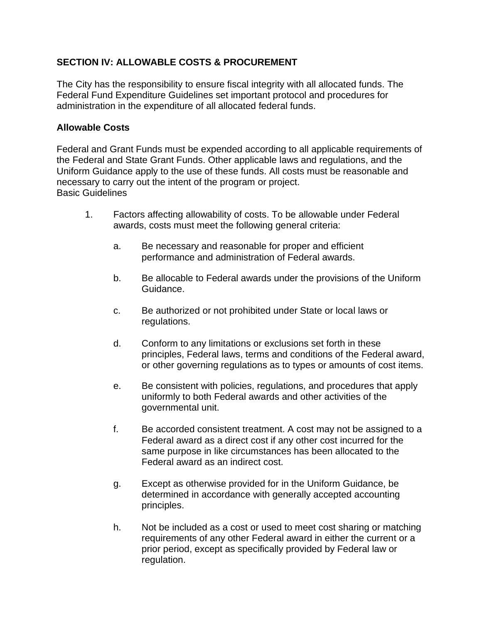# **SECTION IV: ALLOWABLE COSTS & PROCUREMENT**

The City has the responsibility to ensure fiscal integrity with all allocated funds. The Federal Fund Expenditure Guidelines set important protocol and procedures for administration in the expenditure of all allocated federal funds.

#### **Allowable Costs**

Federal and Grant Funds must be expended according to all applicable requirements of the Federal and State Grant Funds. Other applicable laws and regulations, and the Uniform Guidance apply to the use of these funds. All costs must be reasonable and necessary to carry out the intent of the program or project. Basic Guidelines

- 1. Factors affecting allowability of costs. To be allowable under Federal awards, costs must meet the following general criteria:
	- a. Be necessary and reasonable for proper and efficient performance and administration of Federal awards.
	- b. Be allocable to Federal awards under the provisions of the Uniform Guidance.
	- c. Be authorized or not prohibited under State or local laws or regulations.
	- d. Conform to any limitations or exclusions set forth in these principles, Federal laws, terms and conditions of the Federal award, or other governing regulations as to types or amounts of cost items.
	- e. Be consistent with policies, regulations, and procedures that apply uniformly to both Federal awards and other activities of the governmental unit.
	- f. Be accorded consistent treatment. A cost may not be assigned to a Federal award as a direct cost if any other cost incurred for the same purpose in like circumstances has been allocated to the Federal award as an indirect cost.
	- g. Except as otherwise provided for in the Uniform Guidance, be determined in accordance with generally accepted accounting principles.
	- h. Not be included as a cost or used to meet cost sharing or matching requirements of any other Federal award in either the current or a prior period, except as specifically provided by Federal law or regulation.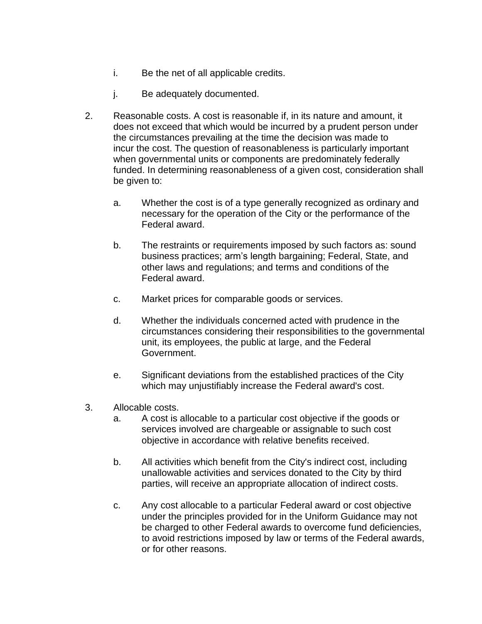- i. Be the net of all applicable credits.
- j. Be adequately documented.
- 2. Reasonable costs. A cost is reasonable if, in its nature and amount, it does not exceed that which would be incurred by a prudent person under the circumstances prevailing at the time the decision was made to incur the cost. The question of reasonableness is particularly important when governmental units or components are predominately federally funded. In determining reasonableness of a given cost, consideration shall be given to:
	- a. Whether the cost is of a type generally recognized as ordinary and necessary for the operation of the City or the performance of the Federal award.
	- b. The restraints or requirements imposed by such factors as: sound business practices; arm's length bargaining; Federal, State, and other laws and regulations; and terms and conditions of the Federal award.
	- c. Market prices for comparable goods or services.
	- d. Whether the individuals concerned acted with prudence in the circumstances considering their responsibilities to the governmental unit, its employees, the public at large, and the Federal Government.
	- e. Significant deviations from the established practices of the City which may unjustifiably increase the Federal award's cost.
- 3. Allocable costs.
	- a. A cost is allocable to a particular cost objective if the goods or services involved are chargeable or assignable to such cost objective in accordance with relative benefits received.
	- b. All activities which benefit from the City's indirect cost, including unallowable activities and services donated to the City by third parties, will receive an appropriate allocation of indirect costs.
	- c. Any cost allocable to a particular Federal award or cost objective under the principles provided for in the Uniform Guidance may not be charged to other Federal awards to overcome fund deficiencies, to avoid restrictions imposed by law or terms of the Federal awards, or for other reasons.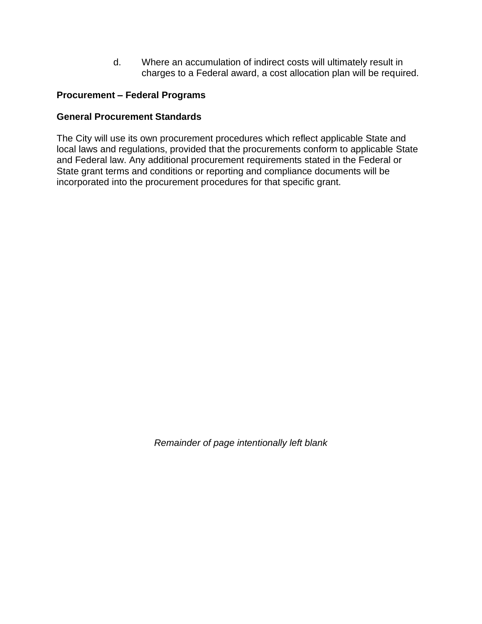d. Where an accumulation of indirect costs will ultimately result in charges to a Federal award, a cost allocation plan will be required.

# **Procurement – Federal Programs**

### **General Procurement Standards**

The City will use its own procurement procedures which reflect applicable State and local laws and regulations, provided that the procurements conform to applicable State and Federal law. Any additional procurement requirements stated in the Federal or State grant terms and conditions or reporting and compliance documents will be incorporated into the procurement procedures for that specific grant.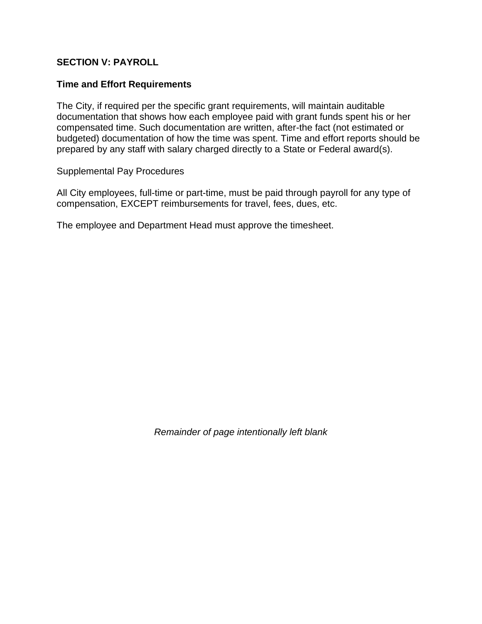## **SECTION V: PAYROLL**

#### **Time and Effort Requirements**

The City, if required per the specific grant requirements, will maintain auditable documentation that shows how each employee paid with grant funds spent his or her compensated time. Such documentation are written, after-the fact (not estimated or budgeted) documentation of how the time was spent. Time and effort reports should be prepared by any staff with salary charged directly to a State or Federal award(s).

Supplemental Pay Procedures

All City employees, full-time or part-time, must be paid through payroll for any type of compensation, EXCEPT reimbursements for travel, fees, dues, etc.

The employee and Department Head must approve the timesheet.